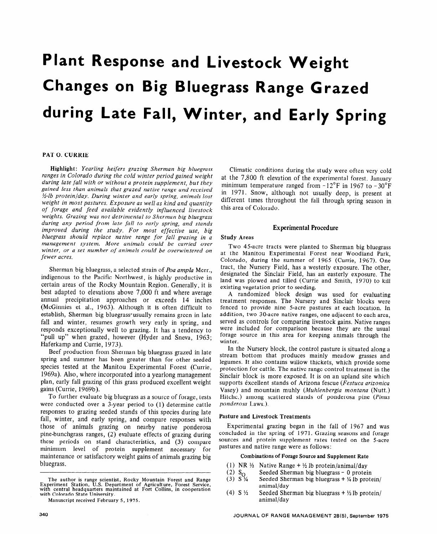# **Plant Response and Livestock Weight Changes on Big Bluegrass Range Grazed during Late Fall, Winter, and Early Spring**

# PAT 0. CURRIE

Highlight: *Yearling heifers grazing Sherman big bluegrass ranges in Colorado during the cold winter period gained weight during late fall with or without a protein supplement, but they gained less than animals that grazed native range and received %-lb protein/day. During winter and early spring, animals lost weight in most pastures. Exposure as well as kind and quantity of forage and feed available evidently influenced livestock weights. Grazing was not detrimental to Sherman big bluegrass during any period from late fall to early spring, and stands improved during the study. For most effective use, big bluegrass should replace native range for fall grazing in a management system. More animals could be carried over winter, or a set number of animals could be overwintered on fewer acres.* 

Sherman big bluegrass, a selected strain of *Poa ampla* Merr., indigenous to the Pacific Northwest, is highly productive in certain areas of the Rocky Mountain Region. Generally, it is best adapted to elevations above 7,000 ft and where average annual precipitation approaches or exceeds 14 inches (McGinnies et al., 1963). Although it is often difficult to establish, Sherman big bluegrass-usually remains green in late fall and winter, resumes growth very early in spring, and responds exceptionally well to grazing. It has a tendency to "pull up" when grazed, however (Hyder and Sneva, 1963; Haferkamp and Currie, 1973).

Beef production from Sherman big bluegrass grazed in late spring and summer has been greater than for other seeded species tested at the Manitou Experimental Forest (Currie, 1969a). Also, where incorporated into a yearlong management plan, early fall grazing of this grass produced excellent weight gains (Currie, 1969b).

To further evaluate big bluegrass as a source of forage, tests were conducted over a 3-year period to (1) determine cattle responses to grazing seeded stands of this species during late fall, winter, and early spring, and compare responses with those of animals grazing on nearby native ponderosa pine-bunchgrass ranges, (2) evaluate effects of grazing during these periods on stand characteristics, and (3) compare minimum level of protein supplement necessary for maintenance or satisfactory weight gains of animals grazing big bluegrass.

Climatic conditions during the study were often very cold at the 7,800 ft elevation of the experimental forest. January minimum temperature ranged from  $-12^{\circ}$ F in 1967 to  $-30^{\circ}$ F in 1971. Snow, although not usually deep, is present at different times throughout the fall through spring season in this area of Colorado.

#### Experimental Procedure

#### Study Areas

Two 45-acre tracts were planted to Sherman big bluegrass at the Manitou Experimental Forest near Woodland Park, Colorado, during the summer of 1965 (Currie, 1967). One tract, the Nursery Field, has a westerly exposure. The other, designated the Sinclair Field, has an easterly exposure. The land was plowed and tilled (Currie and Smith, 1970) to kill existing vegetation prior to seeding.

A randomized block design was used for evaluating treatment responses. The Nursery and Sinclair blocks were fenced to provide nine 5-acre pastures at each location. In addition, two 30-acre native ranges, one adjacent to each area, served as controls for comparing livestock gains. Native ranges were included for comparison because they are the usual forage source in this area for keeping animals through the winter.

In the Nursery block, the control pasture is situated along a stream bottom that produces mainly meadow grasses and legumes. It also contains willow thickets, which provide some protection for cattle. The native range control treatment in the Sinclair block is more exposed. It is on an upland site which supports excellent stands of Arizona fescue *(Festuca arizonica*  Vasey) and mountain muhly *(Muhlenbergia montana* (Nutt.) Hitchc.) among scattered stands of ponderosa pine *(Pinus ponderosa* Laws.).

#### Pasture and Livestock Treatments

Experimental grazing began in the fall of 1967 and was concluded in the spring of 1971. Grazing seasons and forage sources and protein supplement rates tested on the 5-acre pastures and native range were as follows:

#### Combinations of Forage Source and Supplement Rate

- (1) NR  $\frac{1}{2}$  Native Range +  $\frac{1}{2}$  lb protein/animal/day
- (2)  $S_0$  Seeded Sherman big bluegrass 0 protein
- (3)  $S\frac{1}{4}$  Seeded Sherman big bluegrass +  $\frac{1}{4}$  lb protein/ animal/day
- (4) S  $\frac{1}{2}$  Seeded Sherman big bluegrass +  $\frac{1}{2}$  lb protein/ animal/day

The author is range scientist, Rocky Mountain Forest and Range Experiment Station, U.S. Department of Agriculture, Forest Service, with central headquarters maintained at Fort Collins, in cooperation with Colorado State University.

Manuscript received February 5, 1975.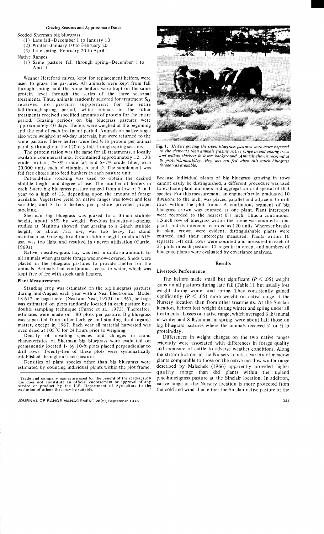## **Grazing Seasons and Approximate Dates**

Seeded Sherman big bluegrass

- (1) Late fall-December 1 to January 10
- (2) Winter-January 10 to February 20
- (3) Late spring-February 20 to April 1

#### Native Ranges

(1) Same pasture fall through spring-December 1 to April 1

Weaner Hereford calves, kept for replacement heifers, were used to graze the pastures. All animals were kept from fall through spring, and the same heifers were kept on the same protein level through the series of the three seasonal treatments. Thus, animals randomly selected for treatment  $S_{\Omega}$ received no protein supplement for the entire fall-through-spring period, while animals in the other treatments received specified amounts of protein for the entire period. Grazing periods on big bluegrass pastures were approximately 40 days. Heifers were weighed at the beginning and the end of each treatment period. Animals on native range also were weighed at 40-day intervals, but were returned to the same pasture. These heifers were fed  $\frac{1}{2}$  lb protein per animal per day throughout the 120-day fall-through-spring seasons.

The protein ration was the same for all treatments, a locally available commercial mix. It contained approximately  $12-13\%$ crude protein,  $2-3\%$  crude fat, and  $5-7\%$  crude fiber, with 20,000 units each of vitamins A and D. The supplement was fed free choice into feed bunkers in each pasture unit.

Put-and-take stocking was used to obtain the desired stubble height and degree of use. The number of heifers in each 5-acre big bluegrass pasture ranged from a low of 7 in 1 year to a high of 13, depending upon the amount of forage available. Vegetative yield on native ranges was lower and less variable; and 3 to 5 heifers per pasture provided proper stocking.

Sherman big bluegrass was grazed to a 3-inch stubble height, about 65% by weight. Previous intensity-of-grazing studies at Manitou showed that grazing to a 2-inch stubble height, or about 72% use, was too heavy for stand maintenance. Grazing to a 4-inch stubble height, or about 61% use, was too light and resulted in uneven utilization (Currie, 1969a).

Native, meadow-grass hay was fed in uniform amounts to all animals when grazable forage was snow-covered. Sheds were placed in the bluegrass pastures to provide shelter for the animals. Animals had continuous access to water, which was kept free of ice with stock tank heaters.

#### **Plant Measurements**

Standing crop was estimated on the big bluegrass pastures during mid-August each year with a Neal Electronics<sup>1</sup> Model 18-612 herbage meter (Neal and Neal, 1973). In 1967, herbage was estimated on plots randomly located in each pasture by a double sampling technique (Currie et al., 1973). Thereafter, estimates were made on 180 plots per pasture. Big bluegrass was separated from other herbage and standing dead organic matter, except in 1967. Each year all material harvested was oven dried at 105°C for 24 hours prior to weighing.

Density of invading species and changes in stand characteristics of Sherman big bluegrass were evaluated on permanently located 1- by 10-ft plots placed perpendicular to drill rows. Twenty-five of these plots were systematically established throughout each pasture.

Densities of plant species other than big bluegrass were estimated by counting individual plants within the plot frame.



Fig. 1. Heifers grazing the open bluegrass pastures were more exposed to the elements than animals grazing native range in and among trees and willow thickets in lower background. Animals shown received 1/2 lb protein/animal/day. Hay was not fed when this much bluegrass forage was available.

Because individual plants of big bluegrass growing in rows cannot easily be distinguished, a different procedure was used to evaluate plant numbers and aggregation or dispersal of that species. For this measurement, an engineer's rule, graduated 10 divisions to the inch, was placed parallel and adjacent to drill rows within the plot frame. A continuous segment of big bluegrass crown was counted as one plant. Plant intercepts were recorded to the nearest 0.1 inch. Thus a continuous, 12-inch row of bluegrass within the frame was counted as one plant, and its intercept recorded as 120 units. Wherever breaks in plant crown were evident, distinguishable plants were counted and their intercepts measured. Plants within 10 separate 1-ft drill rows were counted and measured in each of 25 plots in each pasture. Changes in intercept and numbers of bluegrass plants were evaluated by covariance analyses.

#### **Results**

#### Livestock Performance

The heifers made small but significant ( $P \leq .05$ ) weight gains on all pastures during late fall (Table 1), but usually lost weight during winter and spring. They consistently gained significantly ( $P \leq .05$ ) more weight on native range at the Nursery location than from other treatments. At the Sinclair location, heifers lost weight during winter and spring under all treatments. Losses on native range, which averaged 6 lb/animal in winter and 8 lb/animal in spring, were about half those on big bluegrass pastures where the animals received  $\frac{1}{4}$  or  $\frac{1}{2}$  lb protein/day.

Differences in weight changes on the two native ranges evidently were associated with differences in forage quality and exposure of cattle to adverse weather conditions. Along the stream bottom in the Nursery block, a variety of meadow plants comparable to those on the native meadow winter range described by Malechek (1966) apparently provided higher quality forage than did plants within the upland pine-bunchgrass pasture at the Sinclair location. In addition, native range at the Nursery location is more protected from the cold and wind than either the Sinclair native pasture or the

<sup>&</sup>lt;sup>1</sup> Trade and company names are used for the benefit of the reader; such use does not constitute an official endorsement or approval of any<br>service or product by the U.S. Department of Agriculture to the<br>exclusion of others that may be suitable.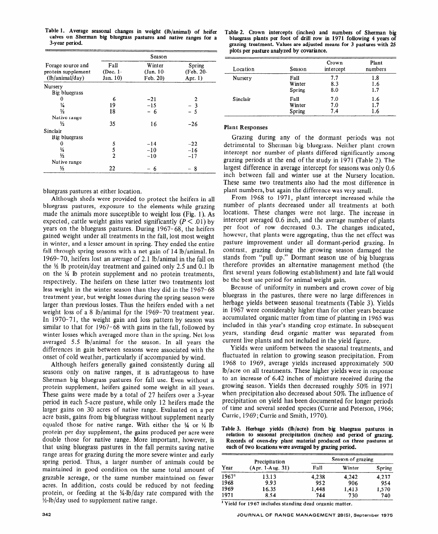|                                                            | Season                       |                                   |                                  |  |  |  |  |
|------------------------------------------------------------|------------------------------|-----------------------------------|----------------------------------|--|--|--|--|
| Forage source and<br>protein supplement<br>(lb/animal/day) | Fall<br>(Dec. 1-<br>Jan. 10) | Winter<br>$(Jan. 10-$<br>Feb. 20) | Spring<br>(Feb. 20-<br>Apr. $1)$ |  |  |  |  |
| Nursery                                                    |                              |                                   |                                  |  |  |  |  |
| Big bluegrass                                              |                              |                                   |                                  |  |  |  |  |
| 0                                                          | 6                            | $-21$                             | 2                                |  |  |  |  |
| ¼                                                          | 19                           | $-15$                             | $-3$                             |  |  |  |  |
| ⅓                                                          | 18                           | - 6                               | $-5$                             |  |  |  |  |
| Native range                                               |                              |                                   |                                  |  |  |  |  |
| $\frac{1}{2}$                                              | 35                           | 16                                | $-26$                            |  |  |  |  |
| Sinclair                                                   |                              |                                   |                                  |  |  |  |  |
| Big bluegrass                                              |                              |                                   |                                  |  |  |  |  |
| 0                                                          | 5                            | $-14$                             | $-22$                            |  |  |  |  |
| ¼                                                          | 5                            | $-10$                             | $-16$                            |  |  |  |  |
| $\frac{1}{2}$                                              | $\overline{2}$               | $-10$                             | $-17$                            |  |  |  |  |
| Native range                                               |                              |                                   |                                  |  |  |  |  |
| ⅓                                                          | 22                           | 6                                 | - 8                              |  |  |  |  |

Table 1. Average seasonal changes in weight (lb/animal) of heifer calves on Sherman big bluegrass pastures and native ranges for a 3-year period.

bluegrass pastures at either location.

Although sheds were provided to protect the heifers in all bluegrass pastures, exposure to the elements while grazing made the animals more susceptible to weight loss (Fig. 1). As expected, cattle weight gains varied significantly  $(P \le 0.01)$  by years on the bluegrass pastures. During 1967-68, the heifers gained weight under all treatments in the fall, lost most weight in winter, and a lesser amount in spring. They ended the entire fall through spring seasons with a net gain of 14 lb/animal. In 1969-70, heifers lost an average of 2.1 lb/animal in the fall on the  $\frac{1}{2}$  lb protein/day treatment and gained only 2.5 and 0.1 lb on the  $\frac{1}{4}$  lb protein supplement and no protein treatments, respectively. The heifers on these latter two treatments lost less weight in the winter season than they did in the 1967-68 treatment year, but weight losses during the spring season were larger than previous losses. Thus the heifers ended with a net weight loss of a 8 lb/animal for the 1969-70 treatment year. In 1970-71, the weight gain and loss pattern by season was similar to that for 1967-68 with gains in the fall, followed by winter losses which averaged more than in the spring. Net loss averaged 5.5 lb/animal for the season. In all years the differences in gain between seasons were associated with the onset of cold weather, particularly if accompanied by wind.

Although heifers generally gained consistently during all seasons only on native ranges, it is advantageous to have Sherman big bluegrass pastures for fall use. Even without a protein supplement, heifers gained some weight in all years. These gains were made by a total of 27 heifers over a 3-year period in each 5-acre pasture, while only 12 heifers made the larger gains on 30 acres of native range. Evaluated on a per acre basis, gains from big bluegrass without supplement nearly equaled those for native range. With either the  $\frac{1}{4}$  or  $\frac{1}{2}$  lb protein per day supplement, the gains produced per acre were double those for native range. More important, however, is that using bluegrass pastures in the fall permits saving native range areas for grazing during the more severe winter and early spring period. Thus, a larger number of animals could be maintained in good condition on the same total amount of grazable acreage, or the same number maintained on fewer acres. In addition, costs could be reduced by not feeding protein, or feeding at the 1/4-lb/day rate compared with the 1/2-lb/day used to supplement native range.

Table 2. Crown intercepts (inches) and numbers of Sherman big bluegrass plants per foot of drill row in 1971 following 4 years of grazing treatment. **Values are adjusted means for 3 pastures with 25 plots per pasture analyzed by covariance.** 

| Location | Season | Crown<br>intercept | Plant<br>numbers |
|----------|--------|--------------------|------------------|
| Nursery  | Fall   | 7.7                | 1.8              |
|          | Winter | 8.3                | 1.6              |
|          | Spring | 8.0                | 1.7              |
| Sinclair | Fall   | 7.0                | 1.6              |
|          | Winter | 7.0                | 1.7              |
|          | Spring | 7.4                | 1.6              |

### Plant **Responses**

Grazing during any of the dormant periods was not detrimental to Sherman big bluegrass. Neither plant crown intercept nor number of plants differed significantly among grazing periods at the end of the study in 1971 (Table 2). The largest difference in average intercept for seasons was only 0.6 inch between fall and winter use at the Nursery location. These same two treatments also had the most difference in plant numbers, but again the difference was very small.

From 1968 to 1971, plant intercept increased while the number of plants decreased under all treatments at both locations. These changes were not large. The increase in intercept averaged 0.6 inch, and the average number of plants per foot of row decreased 0.3. The changes indicated, however, that plants were aggregating, thus the net effect was pasture improvement under all dormant-period grazing. In contrast, grazing during the growing season damaged the stands from "pull up." Dormant season use of big bluegrass therefore provides an alternative management method (the first several years following establishment) and late fall would be the best use period for animal weight gain.

Because of uniformity in numbers and crown cover of big bluegrass in the pastures, there were no large differences in herbage yields between seasonal treatments (Table 3). Yields in 1967 were considerably higher than for other years because accumulated organic matter from time of planting in 1965 was included in this year's standing crop estimate. In subsequent years, standing dead organic matter was separated from current live plants and not included in the yield figure.

Yields were uniform between the seasonal treatments, and fluctuated in relation to growing season precipitation. From 1968 to 1969, average yields increased approximately 500 lb/acre on all treatments. These higher yields were in response to an increase of 6.42 inches of moisture received during the growing' season. Yields then decreased roughly 50% in 1971 when precipitation also decreased about 50%. The influence of precipitation on yield has been documented for longer periods of time and several seeded species (Currie and Peterson, 1966; Currie, 1969 ; Currie and Smith, 1970).

**Table 3. Herbage yields (lb/acre) from big bluegrass pastures in relation to seasonal precipitation (inches) and period of grazing. Records of oven-dry plant material produced on three pastures at each of two locations were averaged by grazing period.** 

|                   | Precipitation      | Season of grazing |        |        |  |  |
|-------------------|--------------------|-------------------|--------|--------|--|--|
| Year              | $(Apr. 1-Aug. 31)$ | Fall              | Winter | Spring |  |  |
| 1967 <sup>1</sup> | 13.13              | 4.238             | 4.242  | 4.237  |  |  |
| 1968              | 9.93               | 952               | 906    | 954    |  |  |
| 1969              | 16.35              | 1,448             | 1,413  | 1,570  |  |  |
| 1971              | 8.54               | 744               | 730    | 740    |  |  |

**' Yield for 19 67 includes standing dead organic matter.**